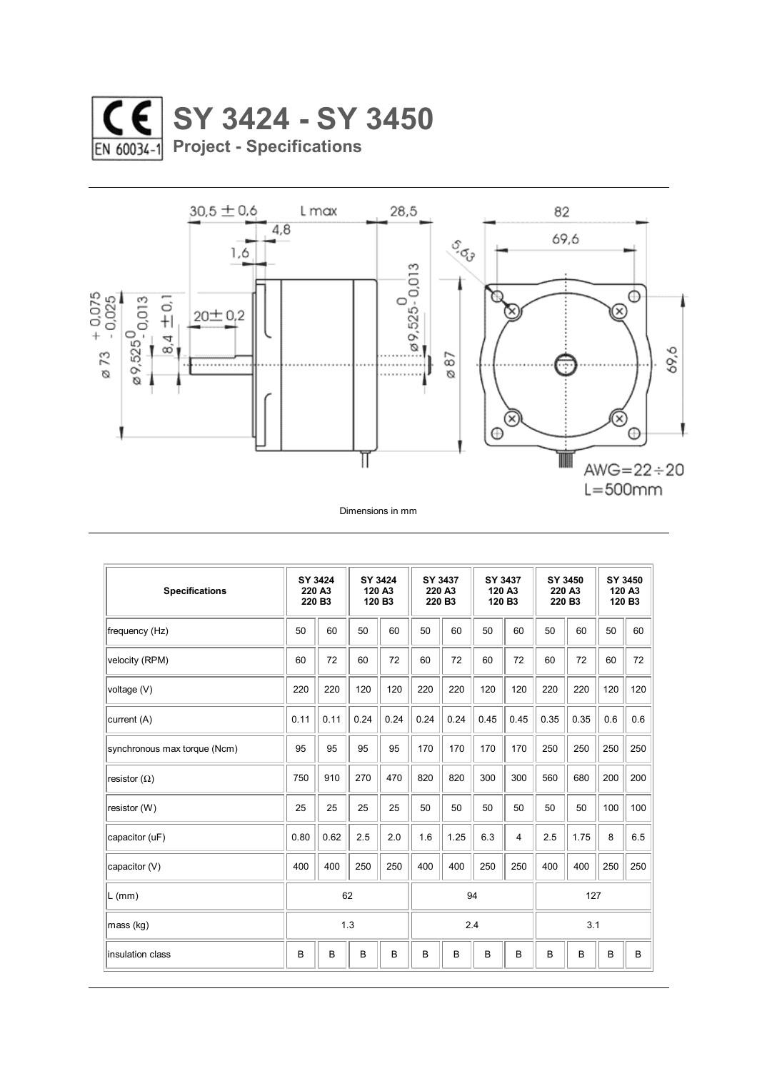



| <b>Specifications</b>        | SY 3424<br>220 A3<br>220 B3 |      | SY 3424<br>120 A3<br>120 B3 |      | SY 3437<br>220 A3<br>220 B3 |      | SY 3437<br>120 A3<br>120 B3 |      | SY 3450<br>220 A3<br>220 B3 |      | SY 3450<br>120 A3<br>120 B3 |     |
|------------------------------|-----------------------------|------|-----------------------------|------|-----------------------------|------|-----------------------------|------|-----------------------------|------|-----------------------------|-----|
| frequency (Hz)               | 50                          | 60   | 50                          | 60   | 50                          | 60   | 50                          | 60   | 50                          | 60   | 50                          | 60  |
| velocity (RPM)               | 60                          | 72   | 60                          | 72   | 60                          | 72   | 60                          | 72   | 60                          | 72   | 60                          | 72  |
| voltage (V)                  | 220                         | 220  | 120                         | 120  | 220                         | 220  | 120                         | 120  | 220                         | 220  | 120                         | 120 |
| current (A)                  | 0.11                        | 0.11 | 0.24                        | 0.24 | 0.24                        | 0.24 | 0.45                        | 0.45 | 0.35                        | 0.35 | 0.6                         | 0.6 |
| synchronous max torque (Ncm) | 95                          | 95   | 95                          | 95   | 170                         | 170  | 170                         | 170  | 250                         | 250  | 250                         | 250 |
| resistor $(\Omega)$          | 750                         | 910  | 270                         | 470  | 820                         | 820  | 300                         | 300  | 560                         | 680  | 200                         | 200 |
| resistor (W)                 | 25                          | 25   | 25                          | 25   | 50                          | 50   | 50                          | 50   | 50                          | 50   | 100                         | 100 |
| capacitor (uF)               | 0.80                        | 0.62 | 2.5                         | 2.0  | 1.6                         | 1.25 | 6.3                         | 4    | 2.5                         | 1.75 | 8                           | 6.5 |
| capacitor (V)                | 400                         | 400  | 250                         | 250  | 400                         | 400  | 250                         | 250  | 400                         | 400  | 250                         | 250 |
| L (mm)                       | 62                          |      |                             |      | 94                          |      |                             |      | 127                         |      |                             |     |
| mass (kg)                    | 1.3                         |      |                             |      | 2.4                         |      |                             |      | 3.1                         |      |                             |     |
| linsulation class            | B                           | B    | B                           | B    | B                           | B    | B                           | B    | B                           | B    | B                           | B   |